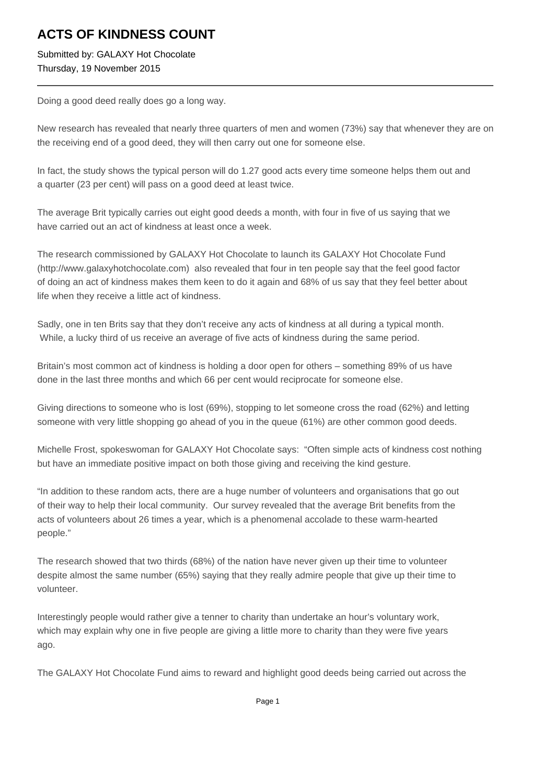## **ACTS OF KINDNESS COUNT**

Submitted by: GALAXY Hot Chocolate Thursday, 19 November 2015

Doing a good deed really does go a long way.

New research has revealed that nearly three quarters of men and women (73%) say that whenever they are on the receiving end of a good deed, they will then carry out one for someone else.

In fact, the study shows the typical person will do 1.27 good acts every time someone helps them out and a quarter (23 per cent) will pass on a good deed at least twice.

The average Brit typically carries out eight good deeds a month, with four in five of us saying that we have carried out an act of kindness at least once a week.

The research commissioned by GALAXY Hot Chocolate to launch its GALAXY Hot Chocolate Fund (http://www.galaxyhotchocolate.com) also revealed that four in ten people say that the feel good factor of doing an act of kindness makes them keen to do it again and 68% of us say that they feel better about life when they receive a little act of kindness.

Sadly, one in ten Brits say that they don't receive any acts of kindness at all during a typical month. While, a lucky third of us receive an average of five acts of kindness during the same period.

Britain's most common act of kindness is holding a door open for others – something 89% of us have done in the last three months and which 66 per cent would reciprocate for someone else.

Giving directions to someone who is lost (69%), stopping to let someone cross the road (62%) and letting someone with very little shopping go ahead of you in the queue (61%) are other common good deeds.

Michelle Frost, spokeswoman for GALAXY Hot Chocolate says: "Often simple acts of kindness cost nothing but have an immediate positive impact on both those giving and receiving the kind gesture.

"In addition to these random acts, there are a huge number of volunteers and organisations that go out of their way to help their local community. Our survey revealed that the average Brit benefits from the acts of volunteers about 26 times a year, which is a phenomenal accolade to these warm-hearted people."

The research showed that two thirds (68%) of the nation have never given up their time to volunteer despite almost the same number (65%) saying that they really admire people that give up their time to volunteer.

Interestingly people would rather give a tenner to charity than undertake an hour's voluntary work, which may explain why one in five people are giving a little more to charity than they were five years ago.

The GALAXY Hot Chocolate Fund aims to reward and highlight good deeds being carried out across the